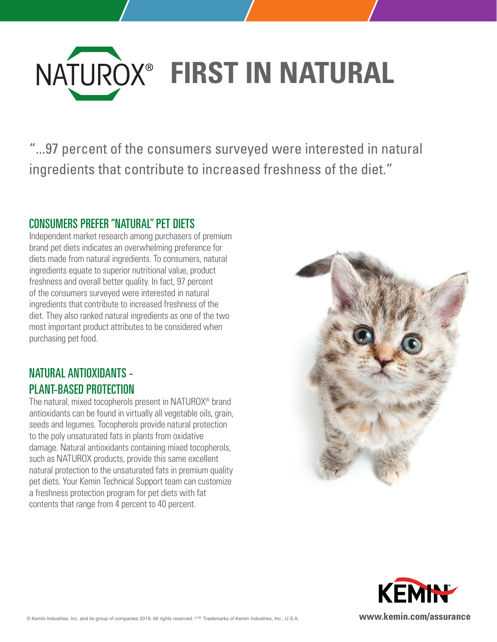

"...97 percent of the consumers surveyed were interested in natural ingredients that contribute to increased freshness of the diet."

#### CONSUMERS PREFER "NATURAL" PET DIETS

Independent market research among purchasers of premium brand pet diets indicates an overwhelming preference for diets made from natural ingredients. To consumers, natural ingredients equate to superior nutritional value, product freshness and overall better quality. In fact, 97 percent of the consumers surveyed were interested in natural ingredients that contribute to increased freshness of the diet. They also ranked natural ingredients as one of the two most important product attributes to be considered when purchasing pet food.

# NATURAL ANTIOXIDANTS - PLANT-BASED PROTECTION

The natural, mixed tocopherols present in NATUROX® brand antioxidants can be found in virtually all vegetable oils, grain, seeds and legumes. Tocopherols provide natural protection to the poly unsaturated fats in plants from oxidative damage. Natural antioxidants containing mixed tocopherols, such as NATUROX products, provide this same excellent natural protection to the unsaturated fats in premium quality pet diets. Your Kemin Technical Support team can customize a freshness protection program for pet diets with fat contents that range from 4 percent to 40 percent.